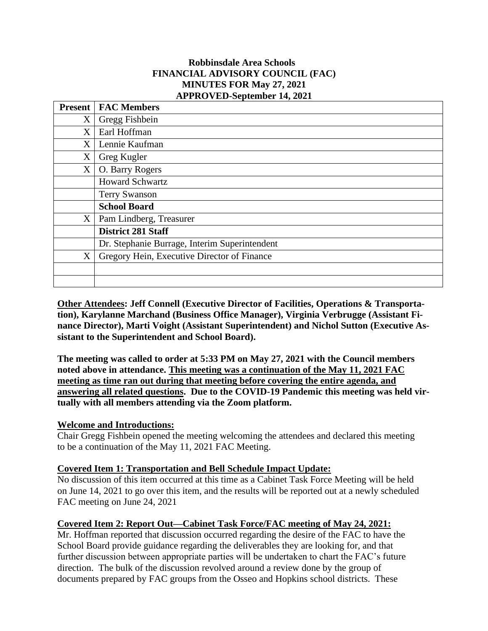### **Robbinsdale Area Schools FINANCIAL ADVISORY COUNCIL (FAC) MINUTES FOR May 27, 2021 APPROVED-September 14, 2021**

|   | <b>Present   FAC Members</b>                  |
|---|-----------------------------------------------|
| X | Gregg Fishbein                                |
| X | Earl Hoffman                                  |
| X | Lennie Kaufman                                |
| X | Greg Kugler                                   |
| X | O. Barry Rogers                               |
|   | <b>Howard Schwartz</b>                        |
|   | <b>Terry Swanson</b>                          |
|   | <b>School Board</b>                           |
| X | Pam Lindberg, Treasurer                       |
|   | <b>District 281 Staff</b>                     |
|   | Dr. Stephanie Burrage, Interim Superintendent |
| X | Gregory Hein, Executive Director of Finance   |
|   |                                               |
|   |                                               |

**Other Attendees: Jeff Connell (Executive Director of Facilities, Operations & Transportation), Karylanne Marchand (Business Office Manager), Virginia Verbrugge (Assistant Finance Director), Marti Voight (Assistant Superintendent) and Nichol Sutton (Executive Assistant to the Superintendent and School Board).**

**The meeting was called to order at 5:33 PM on May 27, 2021 with the Council members noted above in attendance. This meeting was a continuation of the May 11, 2021 FAC meeting as time ran out during that meeting before covering the entire agenda, and answering all related questions. Due to the COVID-19 Pandemic this meeting was held virtually with all members attending via the Zoom platform.**

## **Welcome and Introductions:**

Chair Gregg Fishbein opened the meeting welcoming the attendees and declared this meeting to be a continuation of the May 11, 2021 FAC Meeting.

#### **Covered Item 1: Transportation and Bell Schedule Impact Update:**

No discussion of this item occurred at this time as a Cabinet Task Force Meeting will be held on June 14, 2021 to go over this item, and the results will be reported out at a newly scheduled FAC meeting on June 24, 2021

#### **Covered Item 2: Report Out—Cabinet Task Force/FAC meeting of May 24, 2021:**

Mr. Hoffman reported that discussion occurred regarding the desire of the FAC to have the School Board provide guidance regarding the deliverables they are looking for, and that further discussion between appropriate parties will be undertaken to chart the FAC's future direction. The bulk of the discussion revolved around a review done by the group of documents prepared by FAC groups from the Osseo and Hopkins school districts. These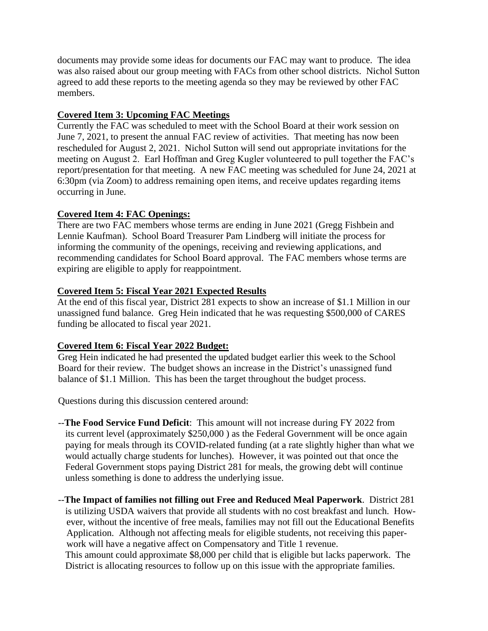documents may provide some ideas for documents our FAC may want to produce. The idea was also raised about our group meeting with FACs from other school districts. Nichol Sutton agreed to add these reports to the meeting agenda so they may be reviewed by other FAC members.

### **Covered Item 3: Upcoming FAC Meetings**

Currently the FAC was scheduled to meet with the School Board at their work session on June 7, 2021, to present the annual FAC review of activities. That meeting has now been rescheduled for August 2, 2021. Nichol Sutton will send out appropriate invitations for the meeting on August 2. Earl Hoffman and Greg Kugler volunteered to pull together the FAC's report/presentation for that meeting. A new FAC meeting was scheduled for June 24, 2021 at 6:30pm (via Zoom) to address remaining open items, and receive updates regarding items occurring in June.

## **Covered Item 4: FAC Openings:**

There are two FAC members whose terms are ending in June 2021 (Gregg Fishbein and Lennie Kaufman). School Board Treasurer Pam Lindberg will initiate the process for informing the community of the openings, receiving and reviewing applications, and recommending candidates for School Board approval. The FAC members whose terms are expiring are eligible to apply for reappointment.

### **Covered Item 5: Fiscal Year 2021 Expected Results**

At the end of this fiscal year, District 281 expects to show an increase of \$1.1 Million in our unassigned fund balance. Greg Hein indicated that he was requesting \$500,000 of CARES funding be allocated to fiscal year 2021.

## **Covered Item 6: Fiscal Year 2022 Budget:**

 Greg Hein indicated he had presented the updated budget earlier this week to the School Board for their review. The budget shows an increase in the District's unassigned fund balance of \$1.1 Million. This has been the target throughout the budget process.

Questions during this discussion centered around:

- --**The Food Service Fund Deficit**: This amount will not increase during FY 2022 from its current level (approximately \$250,000 ) as the Federal Government will be once again paying for meals through its COVID-related funding (at a rate slightly higher than what we would actually charge students for lunches). However, it was pointed out that once the Federal Government stops paying District 281 for meals, the growing debt will continue unless something is done to address the underlying issue.
- --**The Impact of families not filling out Free and Reduced Meal Paperwork**. District 281 is utilizing USDA waivers that provide all students with no cost breakfast and lunch. However, without the incentive of free meals, families may not fill out the Educational Benefits Application. Although not affecting meals for eligible students, not receiving this paperwork will have a negative affect on Compensatory and Title 1 revenue. This amount could approximate \$8,000 per child that is eligible but lacks paperwork. The District is allocating resources to follow up on this issue with the appropriate families.